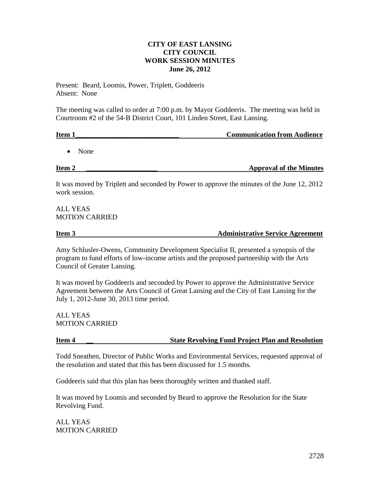#### **CITY OF EAST LANSING CITY COUNCIL WORK SESSION MINUTES June 26, 2012**

Present: Beard, Loomis, Power, Triplett, Goddeeris Absent: None

The meeting was called to order at 7:00 p.m. by Mayor Goddeeris. The meeting was held in Courtroom #2 of the 54-B District Court, 101 Linden Street, East Lansing.

| Item 1 | <b>Communication from Audience</b> |
|--------|------------------------------------|
|        |                                    |

• None

**Item 2 Example 2 Example 2 Example 2 Example 2 Example 2 Example 2 Example 2 Example 2 Example 2 Example 2 Example 2 Example 2 Example 2 Example 2 Example 2 Example 2 Example 2 Example** 

It was moved by Triplett and seconded by Power to approve the minutes of the June 12, 2012 work session.

## ALL YEAS MOTION CARRIED

#### **Item 3** Administrative Service Agreement

Amy Schlusler-Owens, Community Development Specialist II, presented a synopsis of the program to fund efforts of low-income artists and the proposed partnership with the Arts Council of Greater Lansing.

It was moved by Goddeeris and seconded by Power to approve the Administrative Service Agreement between the Arts Council of Great Lansing and the City of East Lansing for the July 1, 2012-June 30, 2013 time period.

ALL YEAS MOTION CARRIED

# **Item 4 \_\_ State Revolving Fund Project Plan and Resolution**

Todd Sneathen, Director of Public Works and Environmental Services, requested approval of the resolution and stated that this has been discussed for 1.5 months.

Goddeeris said that this plan has been thoroughly written and thanked staff.

It was moved by Loomis and seconded by Beard to approve the Resolution for the State Revolving Fund.

ALL YEAS MOTION CARRIED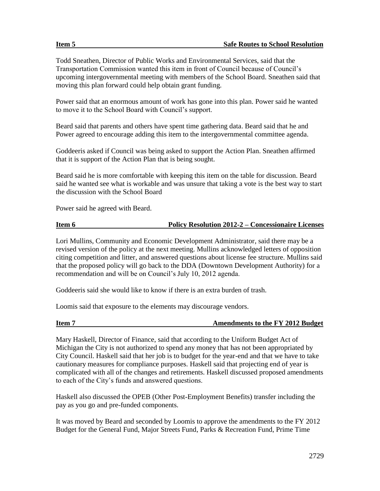Todd Sneathen, Director of Public Works and Environmental Services, said that the Transportation Commission wanted this item in front of Council because of Council's upcoming intergovernmental meeting with members of the School Board. Sneathen said that moving this plan forward could help obtain grant funding.

Power said that an enormous amount of work has gone into this plan. Power said he wanted to move it to the School Board with Council's support.

Beard said that parents and others have spent time gathering data. Beard said that he and Power agreed to encourage adding this item to the intergovernmental committee agenda.

Goddeeris asked if Council was being asked to support the Action Plan. Sneathen affirmed that it is support of the Action Plan that is being sought.

Beard said he is more comfortable with keeping this item on the table for discussion. Beard said he wanted see what is workable and was unsure that taking a vote is the best way to start the discussion with the School Board

Power said he agreed with Beard.

| Item 6 | <b>Policy Resolution 2012-2 – Concessionaire Licenses</b> |  |
|--------|-----------------------------------------------------------|--|
|        |                                                           |  |

Lori Mullins, Community and Economic Development Administrator, said there may be a revised version of the policy at the next meeting. Mullins acknowledged letters of opposition citing competition and litter, and answered questions about license fee structure. Mullins said that the proposed policy will go back to the DDA (Downtown Development Authority) for a recommendation and will be on Council's July 10, 2012 agenda.

Goddeeris said she would like to know if there is an extra burden of trash.

Loomis said that exposure to the elements may discourage vendors.

| Item 7 |  |  |  |  |  |
|--------|--|--|--|--|--|
|--------|--|--|--|--|--|

#### **Amendments to the FY 2012 Budget**

Mary Haskell, Director of Finance, said that according to the Uniform Budget Act of Michigan the City is not authorized to spend any money that has not been appropriated by City Council. Haskell said that her job is to budget for the year-end and that we have to take cautionary measures for compliance purposes. Haskell said that projecting end of year is complicated with all of the changes and retirements. Haskell discussed proposed amendments to each of the City's funds and answered questions.

Haskell also discussed the OPEB (Other Post-Employment Benefits) transfer including the pay as you go and pre-funded components.

It was moved by Beard and seconded by Loomis to approve the amendments to the FY 2012 Budget for the General Fund, Major Streets Fund, Parks & Recreation Fund, Prime Time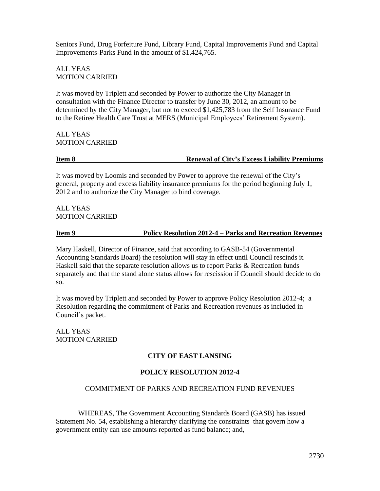Seniors Fund, Drug Forfeiture Fund, Library Fund, Capital Improvements Fund and Capital Improvements-Parks Fund in the amount of \$1,424,765.

ALL YEAS MOTION CARRIED

It was moved by Triplett and seconded by Power to authorize the City Manager in consultation with the Finance Director to transfer by June 30, 2012, an amount to be determined by the City Manager, but not to exceed \$1,425,783 from the Self Insurance Fund to the Retiree Health Care Trust at MERS (Municipal Employees' Retirement System).

ALL YEAS MOTION CARRIED

**Item 8 Renewal of City's Excess Liability Premiums**

It was moved by Loomis and seconded by Power to approve the renewal of the City's general, property and excess liability insurance premiums for the period beginning July 1, 2012 and to authorize the City Manager to bind coverage.

ALL YEAS MOTION CARRIED

#### **Item 9 Policy Resolution 2012-4 – Parks and Recreation Revenues**

Mary Haskell, Director of Finance, said that according to GASB-54 (Governmental Accounting Standards Board) the resolution will stay in effect until Council rescinds it. Haskell said that the separate resolution allows us to report Parks & Recreation funds separately and that the stand alone status allows for rescission if Council should decide to do so.

It was moved by Triplett and seconded by Power to approve Policy Resolution 2012-4; a Resolution regarding the commitment of Parks and Recreation revenues as included in Council's packet.

ALL YEAS MOTION CARRIED

### **CITY OF EAST LANSING**

### **POLICY RESOLUTION 2012-4**

### COMMITMENT OF PARKS AND RECREATION FUND REVENUES

WHEREAS, The Government Accounting Standards Board (GASB) has issued Statement No. 54, establishing a hierarchy clarifying the constraints that govern how a government entity can use amounts reported as fund balance; and,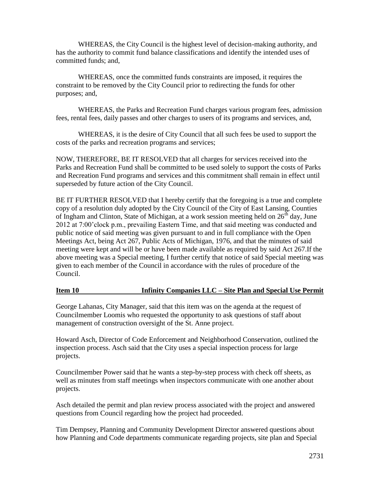WHEREAS, the City Council is the highest level of decision-making authority, and has the authority to commit fund balance classifications and identify the intended uses of committed funds; and,

WHEREAS, once the committed funds constraints are imposed, it requires the constraint to be removed by the City Council prior to redirecting the funds for other purposes; and,

WHEREAS, the Parks and Recreation Fund charges various program fees, admission fees, rental fees, daily passes and other charges to users of its programs and services, and,

WHEREAS, it is the desire of City Council that all such fees be used to support the costs of the parks and recreation programs and services;

NOW, THEREFORE, BE IT RESOLVED that all charges for services received into the Parks and Recreation Fund shall be committed to be used solely to support the costs of Parks and Recreation Fund programs and services and this commitment shall remain in effect until superseded by future action of the City Council.

BE IT FURTHER RESOLVED that I hereby certify that the foregoing is a true and complete copy of a resolution duly adopted by the City Council of the City of East Lansing, Counties of Ingham and Clinton, State of Michigan, at a work session meeting held on  $26<sup>th</sup>$  day, June 2012 at 7:00'clock p.m., prevailing Eastern Time, and that said meeting was conducted and public notice of said meeting was given pursuant to and in full compliance with the Open Meetings Act, being Act 267, Public Acts of Michigan, 1976, and that the minutes of said meeting were kept and will be or have been made available as required by said Act 267.If the above meeting was a Special meeting, I further certify that notice of said Special meeting was given to each member of the Council in accordance with the rules of procedure of the Council.

### **Item 10 Infinity Companies LLC – Site Plan and Special Use Permit**

George Lahanas, City Manager, said that this item was on the agenda at the request of Councilmember Loomis who requested the opportunity to ask questions of staff about management of construction oversight of the St. Anne project.

Howard Asch, Director of Code Enforcement and Neighborhood Conservation, outlined the inspection process. Asch said that the City uses a special inspection process for large projects.

Councilmember Power said that he wants a step-by-step process with check off sheets, as well as minutes from staff meetings when inspectors communicate with one another about projects.

Asch detailed the permit and plan review process associated with the project and answered questions from Council regarding how the project had proceeded.

Tim Dempsey, Planning and Community Development Director answered questions about how Planning and Code departments communicate regarding projects, site plan and Special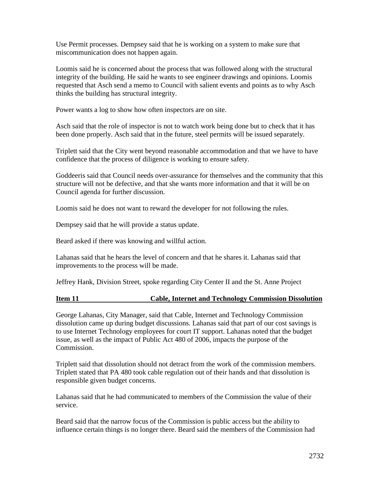Use Permit processes. Dempsey said that he is working on a system to make sure that miscommunication does not happen again.

Loomis said he is concerned about the process that was followed along with the structural integrity of the building. He said he wants to see engineer drawings and opinions. Loomis requested that Asch send a memo to Council with salient events and points as to why Asch thinks the building has structural integrity.

Power wants a log to show how often inspectors are on site.

Asch said that the role of inspector is not to watch work being done but to check that it has been done properly. Asch said that in the future, steel permits will be issued separately.

Triplett said that the City went beyond reasonable accommodation and that we have to have confidence that the process of diligence is working to ensure safety.

Goddeeris said that Council needs over-assurance for themselves and the community that this structure will not be defective, and that she wants more information and that it will be on Council agenda for further discussion.

Loomis said he does not want to reward the developer for not following the rules.

Dempsey said that he will provide a status update.

Beard asked if there was knowing and willful action.

Lahanas said that he hears the level of concern and that he shares it. Lahanas said that improvements to the process will be made.

Jeffrey Hank, Division Street, spoke regarding City Center II and the St. Anne Project

### **Item 11 Cable, Internet and Technology Commission Dissolution**

George Lahanas, City Manager, said that Cable, Internet and Technology Commission dissolution came up during budget discussions. Lahanas said that part of our cost savings is to use Internet Technology employees for court IT support. Lahanas noted that the budget issue, as well as the impact of Public Act 480 of 2006, impacts the purpose of the Commission.

Triplett said that dissolution should not detract from the work of the commission members. Triplett stated that PA 480 took cable regulation out of their hands and that dissolution is responsible given budget concerns.

Lahanas said that he had communicated to members of the Commission the value of their service.

Beard said that the narrow focus of the Commission is public access but the ability to influence certain things is no longer there. Beard said the members of the Commission had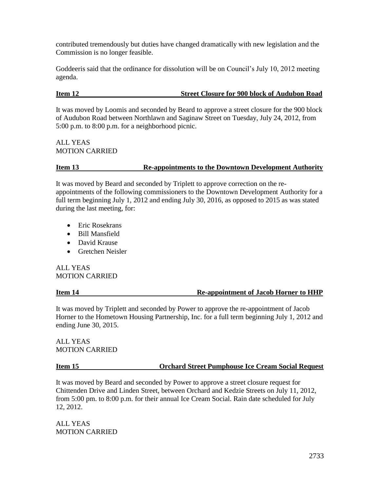contributed tremendously but duties have changed dramatically with new legislation and the Commission is no longer feasible.

Goddeeris said that the ordinance for dissolution will be on Council's July 10, 2012 meeting agenda.

## **Item 12 Street Closure for 900 block of Audubon Road**

It was moved by Loomis and seconded by Beard to approve a street closure for the 900 block of Audubon Road between Northlawn and Saginaw Street on Tuesday, July 24, 2012, from 5:00 p.m. to 8:00 p.m. for a neighborhood picnic.

ALL YEAS MOTION CARRIED

# **Item 13 Re-appointments to the Downtown Development Authority**

It was moved by Beard and seconded by Triplett to approve correction on the reappointments of the following commissioners to the Downtown Development Authority for a full term beginning July 1, 2012 and ending July 30, 2016, as opposed to 2015 as was stated during the last meeting, for:

- **•** Eric Rosekrans
- Bill Mansfield
- David Krause
- Gretchen Neisler

ALL YEAS MOTION CARRIED

### **Item 14 Re-appointment of Jacob Horner to HHP**

It was moved by Triplett and seconded by Power to approve the re-appointment of Jacob Horner to the Hometown Housing Partnership, Inc. for a full term beginning July 1, 2012 and ending June 30, 2015.

ALL YEAS MOTION CARRIED

### **Item 15 Orchard Street Pumphouse Ice Cream Social Request**

It was moved by Beard and seconded by Power to approve a street closure request for Chittenden Drive and Linden Street, between Orchard and Kedzie Streets on July 11, 2012, from 5:00 pm. to 8:00 p.m. for their annual Ice Cream Social. Rain date scheduled for July 12, 2012.

ALL YEAS MOTION CARRIED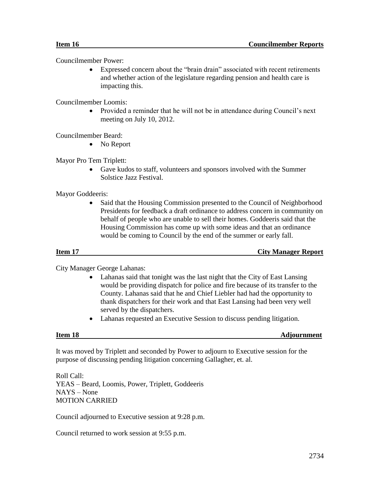Councilmember Power:

 Expressed concern about the "brain drain" associated with recent retirements and whether action of the legislature regarding pension and health care is impacting this.

Councilmember Loomis:

 Provided a reminder that he will not be in attendance during Council's next meeting on July 10, 2012.

Councilmember Beard:

• No Report

Mayor Pro Tem Triplett:

 Gave kudos to staff, volunteers and sponsors involved with the Summer Solstice Jazz Festival.

Mayor Goddeeris:

 Said that the Housing Commission presented to the Council of Neighborhood Presidents for feedback a draft ordinance to address concern in community on behalf of people who are unable to sell their homes. Goddeeris said that the Housing Commission has come up with some ideas and that an ordinance would be coming to Council by the end of the summer or early fall.

**Item 17** City Manager Report

City Manager George Lahanas:

- Lahanas said that tonight was the last night that the City of East Lansing would be providing dispatch for police and fire because of its transfer to the County. Lahanas said that he and Chief Liebler had had the opportunity to thank dispatchers for their work and that East Lansing had been very well served by the dispatchers.
- Lahanas requested an Executive Session to discuss pending litigation.

**Item 18** Adjournment

It was moved by Triplett and seconded by Power to adjourn to Executive session for the purpose of discussing pending litigation concerning Gallagher, et. al.

Roll Call: YEAS – Beard, Loomis, Power, Triplett, Goddeeris NAYS – None MOTION CARRIED

Council adjourned to Executive session at 9:28 p.m.

Council returned to work session at 9:55 p.m.